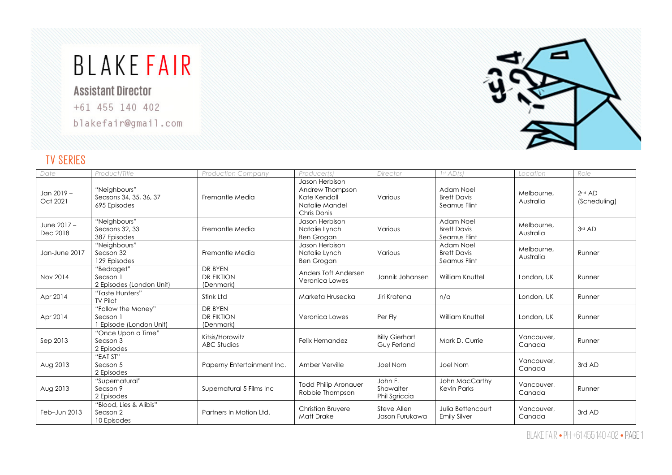# **BLAKE FAIR**

**Assistant Director** 

+61 455 140 402

blakefair@gmail.com



#### TV SERIES

| Date                    | Product/Title                                           | <b>Production Company</b>                 | Producer(s)                                                                        | Director                              | 1 <sup>st</sup> AD(s)                           | Location                | Role                     |
|-------------------------|---------------------------------------------------------|-------------------------------------------|------------------------------------------------------------------------------------|---------------------------------------|-------------------------------------------------|-------------------------|--------------------------|
| Jan 2019 -<br>Oct 2021  | "Neighbours"<br>Seasons 34, 35, 36, 37<br>695 Episodes  | Fremantle Media                           | Jason Herbison<br>Andrew Thompson<br>Kate Kendall<br>Natalie Mandel<br>Chris Donis | Various                               | Adam Noel<br><b>Brett Davis</b><br>Seamus Flint | Melbourne.<br>Australia | $2nd$ AD<br>(Scheduling) |
| June 2017 -<br>Dec 2018 | "Neighbours"<br>Seasons 32, 33<br>387 Episodes          | Fremantle Media                           | Jason Herbison<br>Natalie Lynch<br><b>Ben Grogan</b>                               | Various                               | Adam Noel<br><b>Brett Davis</b><br>Seamus Flint | Melbourne.<br>Australia | 3rd AD                   |
| Jan-June 2017           | "Neighbours"<br>Season 32<br>129 Episodes               | Fremantle Media                           | Jason Herbison<br>Natalie Lynch<br><b>Ben Grogan</b>                               | Various                               | Adam Noel<br><b>Brett Davis</b><br>Seamus Flint | Melbourne.<br>Australia | Runner                   |
| Nov 2014                | "Bedraget"<br>Season 1<br>2 Episodes (London Unit)      | DR BYEN<br><b>DR FIKTION</b><br>(Denmark) | Anders Toft Andersen<br>Veronica Lowes                                             | Jannik Johansen                       | William Knuttel                                 | London, UK              | Runner                   |
| Apr 2014                | "Taste Hunters"<br><b>TV Pilot</b>                      | Stink Ltd                                 | Marketa Hrusecka                                                                   | Jiri Kratena                          | n/a                                             | London, UK              | Runner                   |
| Apr 2014                | "Follow the Money"<br>Season 1<br>Episode (London Unit) | DR BYEN<br><b>DR FIKTION</b><br>(Denmark) | Veronica Lowes                                                                     | Per Flv                               | <b>William Knuttel</b>                          | London, UK              | Runner                   |
| Sep 2013                | "Once Upon a Time"<br>Season 3<br>2 Episodes            | Kitsis/Horowitz<br><b>ABC Studios</b>     | Felix Hernandez                                                                    | <b>Billy Gierhart</b><br>Guy Ferland  | Mark D. Currie                                  | Vancouver.<br>Canada    | Runner                   |
| Aug 2013                | "EAT ST"<br>Season 5<br>2 Episodes                      | Paperny Entertainment Inc.                | Amber Verville                                                                     | Joel Norn                             | Joel Norn                                       | Vancouver,<br>Canada    | 3rd AD                   |
| Aug 2013                | "Supernatural"<br>Season 9<br>2 Episodes                | Supernatural 5 Films Inc                  | <b>Todd Philip Aronauer</b><br>Robbie Thompson                                     | John F.<br>Showalter<br>Phil Sgriccia | John MacCarthy<br>Kevin Parks                   | Vancouver.<br>Canada    | Runner                   |
| Feb-Jun 2013            | "Blood, Lies & Alibis"<br>Season 2<br>10 Episodes       | Partners In Motion Ltd.                   | Christian Bruyere<br><b>Matt Drake</b>                                             | Steve Allen<br>Jason Furukawa         | Julia Bettencourt<br><b>Emily Silver</b>        | Vancouver.<br>Canada    | 3rd AD                   |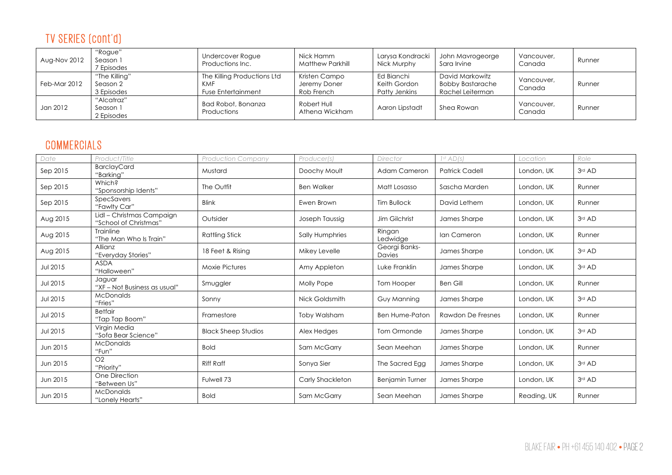## TV SERIES (cont'd)

| Aug-Nov 2012 | "Rogue"<br>Season 1<br><sup>7</sup> Episodes | Undercover Rogue<br>Productions Inc.                                   | Nick Hamm<br>Matthew Parkhill               | Larysa Kondracki<br>Nick Murphy             | John Mavrogeorge<br>Sara Irvine                                | Vancouver,<br>Canada | Runner |
|--------------|----------------------------------------------|------------------------------------------------------------------------|---------------------------------------------|---------------------------------------------|----------------------------------------------------------------|----------------------|--------|
| Feb-Mar 2012 | "The Killing"<br>Season 2<br>3 Episodes      | The Killing Productions Ltd<br><b>KMF</b><br><b>Fuse Entertainment</b> | Kristen Campo<br>Jeremy Doner<br>Rob French | Ed Bianchi<br>Keith Gordon<br>Patty Jenkins | David Markowitz<br><b>Bobby Bastarache</b><br>Rachel Leiterman | Vancouver,<br>Canada | Runner |
| Jan 2012     | "Alcatraz"<br>Season 1<br>2 Episodes         | Bad Robot, Bonanza<br>Productions                                      | Robert Hull<br>Athena Wickham               | Aaron Lipstadt                              | Shea Rowan                                                     | Vancouver,<br>Canada | Runner |

#### **COMMERCIALS**

| Date            | Product/Title                                      | <b>Production Company</b>  | Producer(s)         | Director                | 1 <sup>st</sup> AD(s) | Location    | Role   |
|-----------------|----------------------------------------------------|----------------------------|---------------------|-------------------------|-----------------------|-------------|--------|
| Sep 2015        | <b>BarclayCard</b><br>"Barking"                    | Mustard                    | Doochy Moult        | Adam Cameron            | <b>Patrick Cadell</b> | London, UK  | 3rd AD |
| Sep 2015        | Which?<br>"Sponsorship Idents"                     | The Outfit                 | <b>Ben Walker</b>   | Matt Losasso            | Sascha Marden         | London, UK  | Runner |
| Sep 2015        | SpecSavers<br>"Fawlty Car"                         | <b>Blink</b>               | Ewen Brown          | <b>Tim Bullock</b>      | David Lethem          | London, UK  | Runner |
| Aug 2015        | Lidl - Christmas Campaign<br>"School of Christmas" | Outsider                   | Joseph Taussig      | Jim Gilchrist           | James Sharpe          | London, UK  | 3rd AD |
| Aug 2015        | Trainline<br>"The Man Who Is Train"                | <b>Rattling Stick</b>      | Sally Humphries     | Ringan<br>Ledwidge      | Ian Cameron           | London, UK  | Runner |
| Aug 2015        | <b>Allianz</b><br>"Everyday Stories"               | 18 Feet & Rising           | Mikey Levelle       | Georgi Banks-<br>Davies | James Sharpe          | London, UK  | 3rd AD |
| <b>Jul 2015</b> | <b>ASDA</b><br>"Halloween"                         | <b>Moxie Pictures</b>      | Amy Appleton        | Luke Franklin           | James Sharpe          | London, UK  | 3rd AD |
| <b>Jul 2015</b> | Jaguar<br>"XF – Not Business as usual"             | Smuggler                   | Molly Pope          | Tom Hooper              | <b>Ben Gill</b>       | London, UK  | Runner |
| <b>Jul 2015</b> | <b>McDonalds</b><br>"Fries"                        | Sonny                      | Nick Goldsmith      | Guy Manning             | James Sharpe          | London, UK  | 3rd AD |
| <b>Jul 2015</b> | <b>Betfair</b><br>"Tap Tap Boom"                   | Framestore                 | <b>Toby Walsham</b> | <b>Ben Hume-Paton</b>   | Rawdon De Fresnes     | London, UK  | Runner |
| <b>Jul 2015</b> | Virgin Media<br>"Sofa Bear Science"                | <b>Black Sheep Studios</b> | Alex Hedges         | Tom Ormonde             | James Sharpe          | London, UK  | 3rd AD |
| Jun 2015        | <b>McDonalds</b><br>"Fun"                          | <b>Bold</b>                | Sam McGarry         | Sean Meehan             | James Sharpe          | London, UK  | Runner |
| Jun 2015        | O <sub>2</sub><br>"Priority"                       | <b>Riff Raff</b>           | Sonya Sier          | The Sacred Egg          | James Sharpe          | London, UK  | 3rd AD |
| Jun 2015        | One Direction<br>"Between Us"                      | Fulwell 73                 | Carly Shackleton    | <b>Benjamin Turner</b>  | James Sharpe          | London, UK  | 3rd AD |
| Jun 2015        | <b>McDonalds</b><br>"Lonely Hearts"                | <b>Bold</b>                | Sam McGarry         | Sean Meehan             | James Sharpe          | Reading, UK | Runner |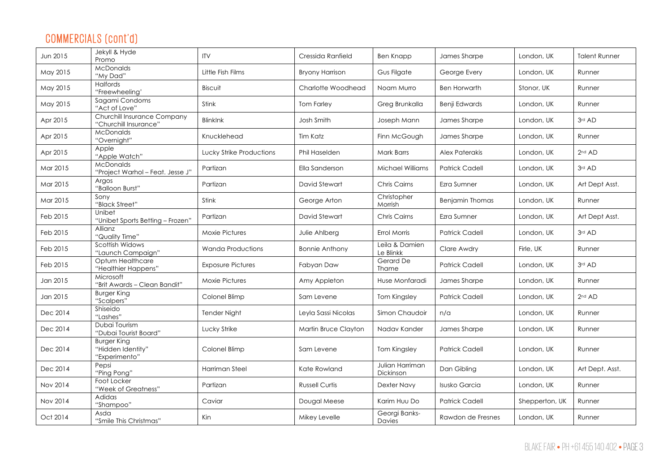## COMMERCIALS (cont'd)

| Jun 2015 | Jekyll & Hyde<br>Promo                                   | <b>ITV</b>               | Cressida Ranfield     | <b>Ben Knapp</b>             | James Sharpe           | London, UK     | <b>Talent Runner</b> |
|----------|----------------------------------------------------------|--------------------------|-----------------------|------------------------------|------------------------|----------------|----------------------|
| May 2015 | McDonalds<br>"My Dad"                                    | Little Fish Films        | Bryony Harrison       | Gus Filgate                  | George Every           | London, UK     | Runner               |
| May 2015 | <b>Halfords</b><br>"Freewheeling"                        | Biscuit                  | Charlotte Woodhead    | Noam Murro                   | <b>Ben Horwarth</b>    | Stonor, UK     | Runner               |
| May 2015 | Sagami Condoms<br>"Act of Love"                          | Stink                    | <b>Tom Farley</b>     | Greg Brunkalla               | Benji Edwards          | London, UK     | Runner               |
| Apr 2015 | Churchill Insurance Company<br>"Churchill Insurance"     | <b>BlinkInk</b>          | Josh Smith            | Joseph Mann                  | James Sharpe           | London, UK     | 3rd AD               |
| Apr 2015 | <b>McDonalds</b><br>"Overnight"                          | Knucklehead              | Tim Katz              | Finn McGough                 | James Sharpe           | London, UK     | Runner               |
| Apr 2015 | Apple<br>"Apple Watch"                                   | Lucky Strike Productions | Phil Haselden         | <b>Mark Barrs</b>            | Alex Paterakis         | London, UK     | 2 <sup>nd</sup> AD   |
| Mar 2015 | <b>McDonalds</b><br>"Project Warhol - Feat. Jesse J'     | Partizan                 | Ella Sanderson        | Michael Williams             | <b>Patrick Cadell</b>  | London, UK     | 3rd AD               |
| Mar 2015 | Argos<br>"Balloon Burst"                                 | Partizan                 | David Stewart         | Chris Cairns                 | Ezra Sumner            | London, UK     | Art Dept Asst.       |
| Mar 2015 | Sony<br>"Black Street"                                   | Stink                    | George Arton          | Christopher<br>Morrish       | <b>Benjamin Thomas</b> | London, UK     | Runner               |
| Feb 2015 | Unibet<br>"Unibet Sports Betting - Frozen"               | Partizan                 | David Stewart         | Chris Cairns                 | Ezra Sumner            | London, UK     | Art Dept Asst.       |
| Feb 2015 | Allianz<br>"Quality Time"                                | <b>Moxie Pictures</b>    | Julie Ahlberg         | <b>Errol Morris</b>          | <b>Patrick Cadell</b>  | London, UK     | 3rd AD               |
| Feb 2015 | Scottish Widows<br>"Launch Campaign"                     | <b>Wanda Productions</b> | <b>Bonnie Anthony</b> | Leila & Damien<br>Le Blinkk  | Clare Awdry            | Firle, UK      | Runner               |
| Feb 2015 | Optum Healthcare<br>"Healthier Happens"                  | <b>Exposure Pictures</b> | Fabyan Daw            | Gerard De<br><b>Thame</b>    | <b>Patrick Cadell</b>  | London, UK     | 3rd AD               |
| Jan 2015 | Microsoft<br>"Brit Awards - Clean Bandit"                | <b>Moxie Pictures</b>    | Amy Appleton          | Huse Monfaradi               | James Sharpe           | London, UK     | Runner               |
| Jan 2015 | <b>Burger King</b><br>"Scalpers"                         | Colonel Blimp            | Sam Levene            | Tom Kingsley                 | <b>Patrick Cadell</b>  | London, UK     | 2 <sup>nd</sup> AD   |
| Dec 2014 | Shiseido<br>"Lashes"                                     | <b>Tender Night</b>      | Leyla Sassi Nicolas   | Simon Chaudoir               | n/a                    | London, UK     | Runner               |
| Dec 2014 | Dubai Tourism<br>"Dubai Tourist Board"                   | Lucky Strike             | Martin Bruce Clayton  | Nadav Kander                 | James Sharpe           | London, UK     | Runner               |
| Dec 2014 | <b>Burger King</b><br>"Hidden Identity"<br>"Experimento" | Colonel Blimp            | Sam Levene            | Tom Kingsley                 | <b>Patrick Cadell</b>  | London, UK     | Runner               |
| Dec 2014 | Pepsi<br>"Ping Pong"                                     | Harriman Steel           | Kate Rowland          | Julian Harriman<br>Dickinson | Dan Gibling            | London, UK     | Art Dept. Asst.      |
| Nov 2014 | Foot Locker<br>"Week of Greatness"                       | Partizan                 | <b>Russell Curtis</b> | Dexter Navy                  | <b>Isusko Garcia</b>   | London, UK     | Runner               |
| Nov 2014 | Adidas<br>"Shampoo"                                      | Caviar                   | Dougal Meese          | Karim Huu Do                 | <b>Patrick Cadell</b>  | Shepperton, UK | Runner               |
| Oct 2014 | Asda<br>"Smile This Christmas"                           | Kin                      | Mikey Levelle         | Georgi Banks-<br>Davies      | Rawdon de Fresnes      | London, UK     | Runner               |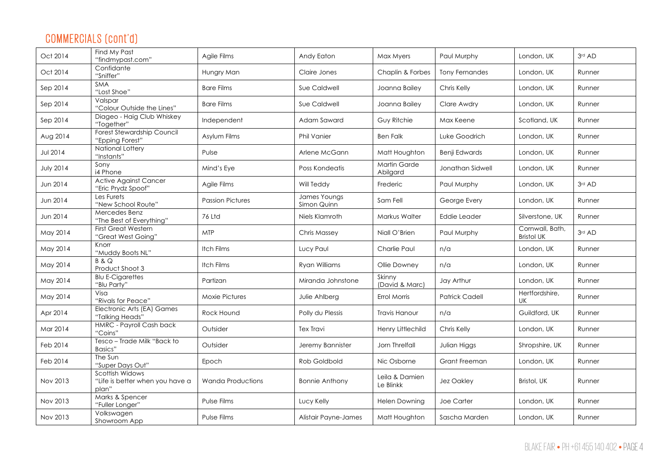## COMMERCIALS (cont'd)

| Oct 2014         | Find My Past<br>"findmypast.com"                            | Agile Films              | Andy Eaton                  | Max Myers                   | Paul Murphy           | London, UK                           | 3rd AD |
|------------------|-------------------------------------------------------------|--------------------------|-----------------------------|-----------------------------|-----------------------|--------------------------------------|--------|
| Oct 2014         | Confidante<br>"Sniffer"                                     | Hungry Man               | Claire Jones                | Chaplin & Forbes            | <b>Tony Fernandes</b> | London, UK                           | Runner |
| Sep 2014         | <b>SMA</b><br>"Lost Shoe"                                   | <b>Bare Films</b>        | Sue Caldwell                | Joanna Bailey               | Chris Kelly           | London, UK                           | Runner |
| Sep 2014         | Valspar<br>"Colour Outside the Lines"                       | <b>Bare Films</b>        | Sue Caldwell                | Joanna Bailey               | Clare Awdry           | London, UK                           | Runner |
| Sep 2014         | Diageo - Haig Club Whiskey<br>"Together"                    | Independent              | Adam Saward                 | Guy Ritchie                 | Max Keene             | Scotland, UK                         | Runner |
| Aug 2014         | Forest Stewardship Council<br>"Epping Forest"               | Asylum Films             | Phil Vanier                 | <b>Ben Falk</b>             | Luke Goodrich         | London, UK                           | Runner |
| <b>Jul 2014</b>  | National Lottery<br>"Instants"                              | Pulse                    | Arlene McGann               | Matt Houghton               | Benji Edwards         | London, UK                           | Runner |
| <b>July 2014</b> | Sony<br>i4 Phone                                            | Mind's Eye               | Poss Kondeatis              | Martin Garde<br>Abilgard    | Jonathan Sidwell      | London, UK                           | Runner |
| Jun 2014         | <b>Active Against Cancer</b><br>"Eric Prydz Spoof"          | Agile Films              | Will Teddy                  | Frederic                    | Paul Murphy           | London, UK                           | 3rd AD |
| Jun 2014         | Les Furets<br>"New School Route"                            | <b>Passion Pictures</b>  | James Youngs<br>Simon Quinn | Sam Fell                    | George Every          | London, UK                           | Runner |
| Jun 2014         | Mercedes Benz<br>"The Best of Everything"                   | 76 Ltd                   | Niels Klamroth              | Markus Walter               | Eddie Leader          | Silverstone, UK                      | Runner |
| May 2014         | <b>First Great Western</b><br>"Great West Going"            | <b>MTP</b>               | Chris Massey                | Niall O'Brien               | Paul Murphy           | Cornwall, Bath,<br><b>Bristol UK</b> | 3rd AD |
| May 2014         | Knorr<br>"Muddy Boots NL"                                   | Itch Films               | Lucy Paul                   | Charlie Paul                | n/a                   | London, UK                           | Runner |
| May 2014         | <b>B&amp;Q</b><br>Product Shoot 3                           | Itch Films               | Ryan Williams               | Ollie Downey                | n/a                   | London, UK                           | Runner |
| May 2014         | <b>Blu E-Cigarettes</b><br>"Blu Party"                      | Partizan                 | Miranda Johnstone           | Skinny<br>(David & Marc)    | Jay Arthur            | London, UK                           | Runner |
| May 2014         | Visa<br>"Rivals for Peace"                                  | <b>Moxie Pictures</b>    | Julie Ahlberg               | Errol Morris                | <b>Patrick Cadell</b> | Hertfordshire,<br>UK                 | Runner |
| Apr 2014         | Electronic Arts (EA) Games<br>"Talking Heads"               | Rock Hound               | Polly du Plessis            | <b>Travis Hanour</b>        | n/a                   | Guildford, UK                        | Runner |
| Mar 2014         | HMRC - Payroll Cash back<br>"Coins"                         | Outsider                 | Tex Travi                   | Henry Littlechild           | Chris Kelly           | London, UK                           | Runner |
| Feb 2014         | Tesco - Trade Milk "Back to<br><b>Basics</b> "              | Outsider                 | Jeremy Bannister            | Jorn Threlfall              | Julian Higgs          | Shropshire, UK                       | Runner |
| Feb 2014         | The Sun<br>"Super Days Out"                                 | Epoch                    | Rob Goldbold                | Nic Osborne                 | Grant Freeman         | London, UK                           | Runner |
| Nov 2013         | Scottish Widows<br>"Life is better when you have a<br>plan" | <b>Wanda Productions</b> | <b>Bonnie Anthony</b>       | Leila & Damien<br>Le Blinkk | Jez Oakley            | Bristol, UK                          | Runner |
| Nov 2013         | Marks & Spencer<br>"Fuller Longer"                          | Pulse Films              | Lucy Kelly                  | <b>Helen Downing</b>        | Joe Carter            | London, UK                           | Runner |
| Nov 2013         | Volkswagen<br>Showroom App                                  | Pulse Films              | Alistair Payne-James        | Matt Houghton               | Sascha Marden         | London, UK                           | Runner |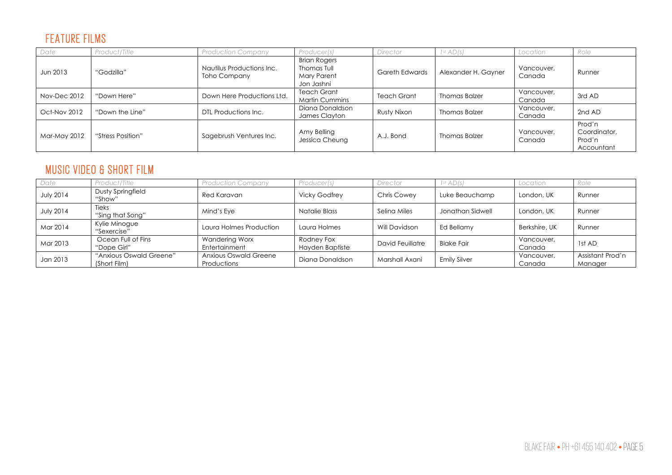#### FEATURE FILMS

| Date                | Product/Title     | <b>Production Company</b>                 | Producer(s)                                                            | Director           | 1 <sup>st</sup> AD(s) | Location             | Role                                           |
|---------------------|-------------------|-------------------------------------------|------------------------------------------------------------------------|--------------------|-----------------------|----------------------|------------------------------------------------|
| Jun 2013            | "Godzilla"        | Nautilus Productions Inc.<br>Toho Company | <b>Brian Rogers</b><br>Thomas Tull<br><b>Mary Parent</b><br>Jon Jashni | Gareth Edwards     | Alexander H. Gayner   | Vancouver,<br>Canada | Runner                                         |
| Nov-Dec 2012        | "Down Here"       | Down Here Productions Ltd.                | <b>Teach Grant</b><br><b>Martin Cummins</b>                            | <b>Teach Grant</b> | <b>Thomas Balzer</b>  | Vancouver,<br>Canada | 3rd AD                                         |
| <b>Oct-Nov 2012</b> | "Down the Line"   | DTL Productions Inc.                      | Diana Donaldson<br>James Clayton                                       | Rusty Nixon        | Thomas Balzer         | Vancouver,<br>Canada | 2nd AD                                         |
| Mar-May 2012        | "Stress Position" | Sagebrush Ventures Inc.                   | Amy Belling<br>Jessica Cheung                                          | A.J. Bond          | <b>Thomas Balzer</b>  | Vancouver,<br>Canada | Prod'n<br>Coordinator,<br>Prod'n<br>Accountant |

#### MUSIC VIDEO & SHORT FILM

| Date             | Product/Title                           | <b>Production Company</b>            | Producer(s)                   | Director           | 1 <sup>st</sup> AD(s) | Location             | Role                        |
|------------------|-----------------------------------------|--------------------------------------|-------------------------------|--------------------|-----------------------|----------------------|-----------------------------|
| <b>July 2014</b> | Dusty Springfield<br>"Show"             | Red Karavan                          | <b>Vicky Godfrey</b>          | <b>Chris Cowey</b> | Luke Beauchamp        | London, UK           | Runner                      |
| <b>July 2014</b> | Tieks<br>"Sing that Song"               | Mind's Eve                           | Natalie Blass                 | Selina Miles       | Jonathan Sidwell      | London, UK           | Runner                      |
| Mar 2014         | Kylie Minogue<br>"Sexercise"            | Laura Holmes Production              | Laura Holmes                  | Will Davidson      | Ed Bellamy            | Berkshire, UK        | Runner                      |
| Mar 2013         | Ocean Full of Fins<br>"Dope Girl"       | Wandering Worx<br>Entertainment      | Rodney Fox<br>Hayden Baptiste | David Feuillatre   | <b>Blake Fair</b>     | Vancouver,<br>Canada | 1st AD                      |
| Jan 2013         | "Anxious Oswald Greene"<br>(Short Film) | Anxious Oswald Greene<br>Productions | Diana Donaldson               | Marshall Axani     | <b>Emily Silver</b>   | Vancouver,<br>Canada | Assistant Prod'n<br>Manager |